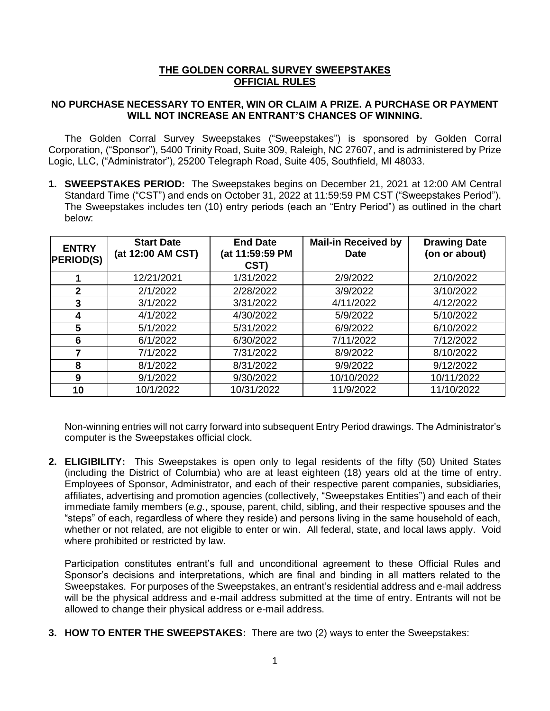## **THE GOLDEN CORRAL SURVEY SWEEPSTAKES OFFICIAL RULES**

## **NO PURCHASE NECESSARY TO ENTER, WIN OR CLAIM A PRIZE. A PURCHASE OR PAYMENT WILL NOT INCREASE AN ENTRANT'S CHANCES OF WINNING.**

The Golden Corral Survey Sweepstakes ("Sweepstakes") is sponsored by Golden Corral Corporation, ("Sponsor"), 5400 Trinity Road, Suite 309, Raleigh, NC 27607, and is administered by Prize Logic, LLC, ("Administrator"), 25200 Telegraph Road, Suite 405, Southfield, MI 48033.

**1. SWEEPSTAKES PERIOD:** The Sweepstakes begins on December 21, 2021 at 12:00 AM Central Standard Time ("CST") and ends on October 31, 2022 at 11:59:59 PM CST ("Sweepstakes Period"). The Sweepstakes includes ten (10) entry periods (each an "Entry Period") as outlined in the chart below:

| <b>ENTRY</b><br><b>PERIOD(S)</b> | <b>Start Date</b><br>(at 12:00 AM CST) | <b>End Date</b><br>(at 11:59:59 PM<br>CST) | <b>Mail-in Received by</b><br><b>Date</b> | <b>Drawing Date</b><br>(on or about) |
|----------------------------------|----------------------------------------|--------------------------------------------|-------------------------------------------|--------------------------------------|
|                                  | 12/21/2021                             | 1/31/2022                                  | 2/9/2022                                  | 2/10/2022                            |
| $\mathbf{2}$                     | 2/1/2022                               | 2/28/2022                                  | 3/9/2022                                  | 3/10/2022                            |
| 3                                | 3/1/2022                               | 3/31/2022                                  | 4/11/2022                                 | 4/12/2022                            |
| 4                                | 4/1/2022                               | 4/30/2022                                  | 5/9/2022                                  | 5/10/2022                            |
| 5                                | 5/1/2022                               | 5/31/2022                                  | 6/9/2022                                  | 6/10/2022                            |
| 6                                | 6/1/2022                               | 6/30/2022                                  | 7/11/2022                                 | 7/12/2022                            |
| 7                                | 7/1/2022                               | 7/31/2022                                  | 8/9/2022                                  | 8/10/2022                            |
| 8                                | 8/1/2022                               | 8/31/2022                                  | 9/9/2022                                  | 9/12/2022                            |
| 9                                | 9/1/2022                               | 9/30/2022                                  | 10/10/2022                                | 10/11/2022                           |
| 10                               | 10/1/2022                              | 10/31/2022                                 | 11/9/2022                                 | 11/10/2022                           |

Non-winning entries will not carry forward into subsequent Entry Period drawings. The Administrator's computer is the Sweepstakes official clock.

**2. ELIGIBILITY:** This Sweepstakes is open only to legal residents of the fifty (50) United States (including the District of Columbia) who are at least eighteen (18) years old at the time of entry. Employees of Sponsor, Administrator, and each of their respective parent companies, subsidiaries, affiliates, advertising and promotion agencies (collectively, "Sweepstakes Entities") and each of their immediate family members (*e.g.*, spouse, parent, child, sibling, and their respective spouses and the "steps" of each, regardless of where they reside) and persons living in the same household of each, whether or not related, are not eligible to enter or win. All federal, state, and local laws apply. Void where prohibited or restricted by law.

Participation constitutes entrant's full and unconditional agreement to these Official Rules and Sponsor's decisions and interpretations, which are final and binding in all matters related to the Sweepstakes. For purposes of the Sweepstakes, an entrant's residential address and e-mail address will be the physical address and e-mail address submitted at the time of entry. Entrants will not be allowed to change their physical address or e-mail address.

**3. HOW TO ENTER THE SWEEPSTAKES:** There are two (2) ways to enter the Sweepstakes: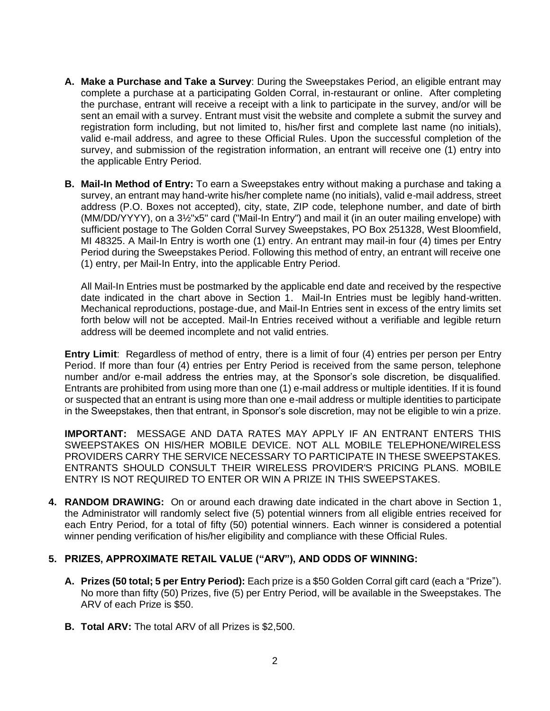- **A. Make a Purchase and Take a Survey**: During the Sweepstakes Period, an eligible entrant may complete a purchase at a participating Golden Corral, in-restaurant or online. After completing the purchase, entrant will receive a receipt with a link to participate in the survey, and/or will be sent an email with a survey. Entrant must visit the website and complete a submit the survey and registration form including, but not limited to, his/her first and complete last name (no initials), valid e-mail address, and agree to these Official Rules. Upon the successful completion of the survey, and submission of the registration information, an entrant will receive one (1) entry into the applicable Entry Period.
- **B. Mail-In Method of Entry:** To earn a Sweepstakes entry without making a purchase and taking a survey, an entrant may hand-write his/her complete name (no initials), valid e-mail address, street address (P.O. Boxes not accepted), city, state, ZIP code, telephone number, and date of birth (MM/DD/YYYY), on a 3½"x5" card ("Mail-In Entry") and mail it (in an outer mailing envelope) with sufficient postage to The Golden Corral Survey Sweepstakes, PO Box 251328, West Bloomfield, MI 48325. A Mail-In Entry is worth one (1) entry. An entrant may mail-in four (4) times per Entry Period during the Sweepstakes Period. Following this method of entry, an entrant will receive one (1) entry, per Mail-In Entry, into the applicable Entry Period.

All Mail-In Entries must be postmarked by the applicable end date and received by the respective date indicated in the chart above in Section 1. Mail-In Entries must be legibly hand-written. Mechanical reproductions, postage-due, and Mail-In Entries sent in excess of the entry limits set forth below will not be accepted. Mail-In Entries received without a verifiable and legible return address will be deemed incomplete and not valid entries.

**Entry Limit**: Regardless of method of entry, there is a limit of four (4) entries per person per Entry Period. If more than four (4) entries per Entry Period is received from the same person, telephone number and/or e-mail address the entries may, at the Sponsor's sole discretion, be disqualified. Entrants are prohibited from using more than one (1) e-mail address or multiple identities. If it is found or suspected that an entrant is using more than one e-mail address or multiple identities to participate in the Sweepstakes, then that entrant, in Sponsor's sole discretion, may not be eligible to win a prize.

**IMPORTANT:** MESSAGE AND DATA RATES MAY APPLY IF AN ENTRANT ENTERS THIS SWEEPSTAKES ON HIS/HER MOBILE DEVICE. NOT ALL MOBILE TELEPHONE/WIRELESS PROVIDERS CARRY THE SERVICE NECESSARY TO PARTICIPATE IN THESE SWEEPSTAKES. ENTRANTS SHOULD CONSULT THEIR WIRELESS PROVIDER'S PRICING PLANS. MOBILE ENTRY IS NOT REQUIRED TO ENTER OR WIN A PRIZE IN THIS SWEEPSTAKES.

**4. RANDOM DRAWING:** On or around each drawing date indicated in the chart above in Section 1, the Administrator will randomly select five (5) potential winners from all eligible entries received for each Entry Period, for a total of fifty (50) potential winners. Each winner is considered a potential winner pending verification of his/her eligibility and compliance with these Official Rules.

## **5. PRIZES, APPROXIMATE RETAIL VALUE ("ARV"), AND ODDS OF WINNING:**

- **A. Prizes (50 total; 5 per Entry Period):** Each prize is a \$50 Golden Corral gift card (each a "Prize"). No more than fifty (50) Prizes, five (5) per Entry Period, will be available in the Sweepstakes. The ARV of each Prize is \$50.
- **B. Total ARV:** The total ARV of all Prizes is \$2,500.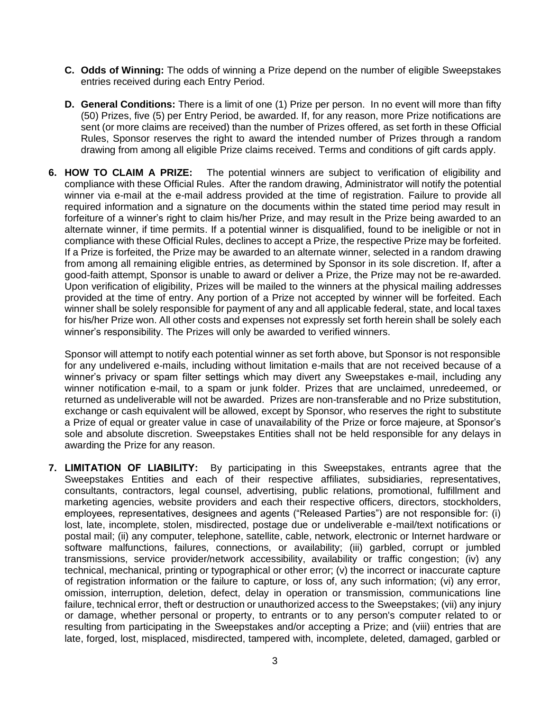- **C. Odds of Winning:** The odds of winning a Prize depend on the number of eligible Sweepstakes entries received during each Entry Period.
- **D. General Conditions:** There is a limit of one (1) Prize per person. In no event will more than fifty (50) Prizes, five (5) per Entry Period, be awarded. If, for any reason, more Prize notifications are sent (or more claims are received) than the number of Prizes offered, as set forth in these Official Rules, Sponsor reserves the right to award the intended number of Prizes through a random drawing from among all eligible Prize claims received. Terms and conditions of gift cards apply.
- **6. HOW TO CLAIM A PRIZE:** The potential winners are subject to verification of eligibility and compliance with these Official Rules. After the random drawing, Administrator will notify the potential winner via e-mail at the e-mail address provided at the time of registration. Failure to provide all required information and a signature on the documents within the stated time period may result in forfeiture of a winner's right to claim his/her Prize, and may result in the Prize being awarded to an alternate winner, if time permits. If a potential winner is disqualified, found to be ineligible or not in compliance with these Official Rules, declines to accept a Prize, the respective Prize may be forfeited. If a Prize is forfeited, the Prize may be awarded to an alternate winner, selected in a random drawing from among all remaining eligible entries, as determined by Sponsor in its sole discretion. If, after a good-faith attempt, Sponsor is unable to award or deliver a Prize, the Prize may not be re-awarded. Upon verification of eligibility, Prizes will be mailed to the winners at the physical mailing addresses provided at the time of entry. Any portion of a Prize not accepted by winner will be forfeited. Each winner shall be solely responsible for payment of any and all applicable federal, state, and local taxes for his/her Prize won. All other costs and expenses not expressly set forth herein shall be solely each winner's responsibility. The Prizes will only be awarded to verified winners.

Sponsor will attempt to notify each potential winner as set forth above, but Sponsor is not responsible for any undelivered e-mails, including without limitation e-mails that are not received because of a winner's privacy or spam filter settings which may divert any Sweepstakes e-mail, including any winner notification e-mail, to a spam or junk folder. Prizes that are unclaimed, unredeemed, or returned as undeliverable will not be awarded. Prizes are non-transferable and no Prize substitution, exchange or cash equivalent will be allowed, except by Sponsor, who reserves the right to substitute a Prize of equal or greater value in case of unavailability of the Prize or force majeure, at Sponsor's sole and absolute discretion. Sweepstakes Entities shall not be held responsible for any delays in awarding the Prize for any reason.

**7. LIMITATION OF LIABILITY:** By participating in this Sweepstakes, entrants agree that the Sweepstakes Entities and each of their respective affiliates, subsidiaries, representatives, consultants, contractors, legal counsel, advertising, public relations, promotional, fulfillment and marketing agencies, website providers and each their respective officers, directors, stockholders, employees, representatives, designees and agents ("Released Parties") are not responsible for: (i) lost, late, incomplete, stolen, misdirected, postage due or undeliverable e-mail/text notifications or postal mail; (ii) any computer, telephone, satellite, cable, network, electronic or Internet hardware or software malfunctions, failures, connections, or availability; (iii) garbled, corrupt or jumbled transmissions, service provider/network accessibility, availability or traffic congestion; (iv) any technical, mechanical, printing or typographical or other error; (v) the incorrect or inaccurate capture of registration information or the failure to capture, or loss of, any such information; (vi) any error, omission, interruption, deletion, defect, delay in operation or transmission, communications line failure, technical error, theft or destruction or unauthorized access to the Sweepstakes; (vii) any injury or damage, whether personal or property, to entrants or to any person's computer related to or resulting from participating in the Sweepstakes and/or accepting a Prize; and (viii) entries that are late, forged, lost, misplaced, misdirected, tampered with, incomplete, deleted, damaged, garbled or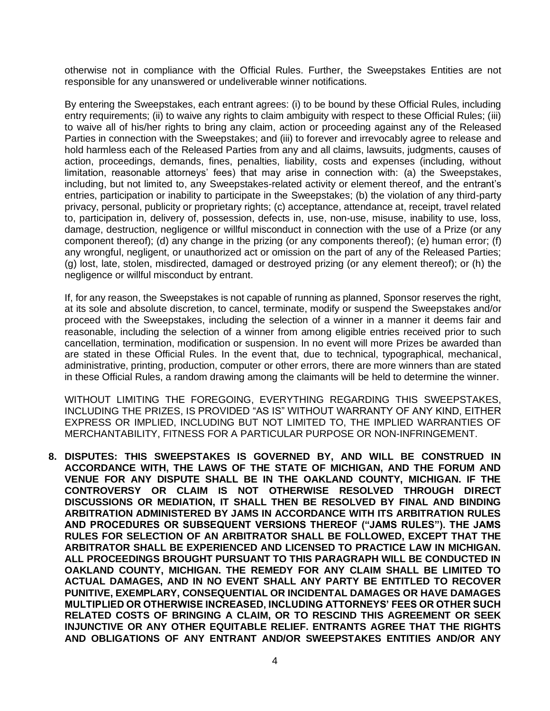otherwise not in compliance with the Official Rules. Further, the Sweepstakes Entities are not responsible for any unanswered or undeliverable winner notifications.

By entering the Sweepstakes, each entrant agrees: (i) to be bound by these Official Rules, including entry requirements; (ii) to waive any rights to claim ambiguity with respect to these Official Rules; (iii) to waive all of his/her rights to bring any claim, action or proceeding against any of the Released Parties in connection with the Sweepstakes; and (iii) to forever and irrevocably agree to release and hold harmless each of the Released Parties from any and all claims, lawsuits, judgments, causes of action, proceedings, demands, fines, penalties, liability, costs and expenses (including, without limitation, reasonable attorneys' fees) that may arise in connection with: (a) the Sweepstakes, including, but not limited to, any Sweepstakes-related activity or element thereof, and the entrant's entries, participation or inability to participate in the Sweepstakes; (b) the violation of any third-party privacy, personal, publicity or proprietary rights; (c) acceptance, attendance at, receipt, travel related to, participation in, delivery of, possession, defects in, use, non-use, misuse, inability to use, loss, damage, destruction, negligence or willful misconduct in connection with the use of a Prize (or any component thereof); (d) any change in the prizing (or any components thereof); (e) human error; (f) any wrongful, negligent, or unauthorized act or omission on the part of any of the Released Parties; (g) lost, late, stolen, misdirected, damaged or destroyed prizing (or any element thereof); or (h) the negligence or willful misconduct by entrant.

If, for any reason, the Sweepstakes is not capable of running as planned, Sponsor reserves the right, at its sole and absolute discretion, to cancel, terminate, modify or suspend the Sweepstakes and/or proceed with the Sweepstakes, including the selection of a winner in a manner it deems fair and reasonable, including the selection of a winner from among eligible entries received prior to such cancellation, termination, modification or suspension. In no event will more Prizes be awarded than are stated in these Official Rules. In the event that, due to technical, typographical, mechanical, administrative, printing, production, computer or other errors, there are more winners than are stated in these Official Rules, a random drawing among the claimants will be held to determine the winner.

WITHOUT LIMITING THE FOREGOING, EVERYTHING REGARDING THIS SWEEPSTAKES, INCLUDING THE PRIZES, IS PROVIDED "AS IS" WITHOUT WARRANTY OF ANY KIND, EITHER EXPRESS OR IMPLIED, INCLUDING BUT NOT LIMITED TO, THE IMPLIED WARRANTIES OF MERCHANTABILITY, FITNESS FOR A PARTICULAR PURPOSE OR NON-INFRINGEMENT.

**8. DISPUTES: THIS SWEEPSTAKES IS GOVERNED BY, AND WILL BE CONSTRUED IN ACCORDANCE WITH, THE LAWS OF THE STATE OF MICHIGAN, AND THE FORUM AND VENUE FOR ANY DISPUTE SHALL BE IN THE OAKLAND COUNTY, MICHIGAN. IF THE CONTROVERSY OR CLAIM IS NOT OTHERWISE RESOLVED THROUGH DIRECT DISCUSSIONS OR MEDIATION, IT SHALL THEN BE RESOLVED BY FINAL AND BINDING ARBITRATION ADMINISTERED BY JAMS IN ACCORDANCE WITH ITS ARBITRATION RULES AND PROCEDURES OR SUBSEQUENT VERSIONS THEREOF ("JAMS RULES"). THE JAMS RULES FOR SELECTION OF AN ARBITRATOR SHALL BE FOLLOWED, EXCEPT THAT THE ARBITRATOR SHALL BE EXPERIENCED AND LICENSED TO PRACTICE LAW IN MICHIGAN. ALL PROCEEDINGS BROUGHT PURSUANT TO THIS PARAGRAPH WILL BE CONDUCTED IN OAKLAND COUNTY, MICHIGAN. THE REMEDY FOR ANY CLAIM SHALL BE LIMITED TO ACTUAL DAMAGES, AND IN NO EVENT SHALL ANY PARTY BE ENTITLED TO RECOVER PUNITIVE, EXEMPLARY, CONSEQUENTIAL OR INCIDENTAL DAMAGES OR HAVE DAMAGES MULTIPLIED OR OTHERWISE INCREASED, INCLUDING ATTORNEYS' FEES OR OTHER SUCH RELATED COSTS OF BRINGING A CLAIM, OR TO RESCIND THIS AGREEMENT OR SEEK INJUNCTIVE OR ANY OTHER EQUITABLE RELIEF. ENTRANTS AGREE THAT THE RIGHTS AND OBLIGATIONS OF ANY ENTRANT AND/OR SWEEPSTAKES ENTITIES AND/OR ANY**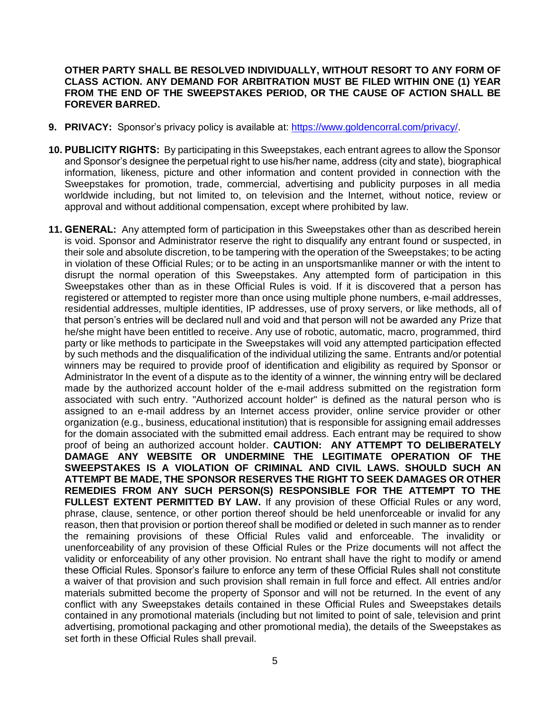## **OTHER PARTY SHALL BE RESOLVED INDIVIDUALLY, WITHOUT RESORT TO ANY FORM OF CLASS ACTION. ANY DEMAND FOR ARBITRATION MUST BE FILED WITHIN ONE (1) YEAR FROM THE END OF THE SWEEPSTAKES PERIOD, OR THE CAUSE OF ACTION SHALL BE FOREVER BARRED.**

- **9. PRIVACY:** Sponsor's privacy policy is available at: [https://www.goldencorral.com/privacy/.](https://www.goldencorral.com/privacy/)
- **10. PUBLICITY RIGHTS:** By participating in this Sweepstakes, each entrant agrees to allow the Sponsor and Sponsor's designee the perpetual right to use his/her name, address (city and state), biographical information, likeness, picture and other information and content provided in connection with the Sweepstakes for promotion, trade, commercial, advertising and publicity purposes in all media worldwide including, but not limited to, on television and the Internet, without notice, review or approval and without additional compensation, except where prohibited by law.
- **11. GENERAL:** Any attempted form of participation in this Sweepstakes other than as described herein is void. Sponsor and Administrator reserve the right to disqualify any entrant found or suspected, in their sole and absolute discretion, to be tampering with the operation of the Sweepstakes; to be acting in violation of these Official Rules; or to be acting in an unsportsmanlike manner or with the intent to disrupt the normal operation of this Sweepstakes. Any attempted form of participation in this Sweepstakes other than as in these Official Rules is void. If it is discovered that a person has registered or attempted to register more than once using multiple phone numbers, e-mail addresses, residential addresses, multiple identities, IP addresses, use of proxy servers, or like methods, all of that person's entries will be declared null and void and that person will not be awarded any Prize that he/she might have been entitled to receive. Any use of robotic, automatic, macro, programmed, third party or like methods to participate in the Sweepstakes will void any attempted participation effected by such methods and the disqualification of the individual utilizing the same. Entrants and/or potential winners may be required to provide proof of identification and eligibility as required by Sponsor or Administrator In the event of a dispute as to the identity of a winner, the winning entry will be declared made by the authorized account holder of the e-mail address submitted on the registration form associated with such entry. "Authorized account holder" is defined as the natural person who is assigned to an e-mail address by an Internet access provider, online service provider or other organization (e.g., business, educational institution) that is responsible for assigning email addresses for the domain associated with the submitted email address. Each entrant may be required to show proof of being an authorized account holder. **CAUTION: ANY ATTEMPT TO DELIBERATELY DAMAGE ANY WEBSITE OR UNDERMINE THE LEGITIMATE OPERATION OF THE SWEEPSTAKES IS A VIOLATION OF CRIMINAL AND CIVIL LAWS. SHOULD SUCH AN ATTEMPT BE MADE, THE SPONSOR RESERVES THE RIGHT TO SEEK DAMAGES OR OTHER REMEDIES FROM ANY SUCH PERSON(S) RESPONSIBLE FOR THE ATTEMPT TO THE FULLEST EXTENT PERMITTED BY LAW.** If any provision of these Official Rules or any word, phrase, clause, sentence, or other portion thereof should be held unenforceable or invalid for any reason, then that provision or portion thereof shall be modified or deleted in such manner as to render the remaining provisions of these Official Rules valid and enforceable. The invalidity or unenforceability of any provision of these Official Rules or the Prize documents will not affect the validity or enforceability of any other provision. No entrant shall have the right to modify or amend these Official Rules. Sponsor's failure to enforce any term of these Official Rules shall not constitute a waiver of that provision and such provision shall remain in full force and effect. All entries and/or materials submitted become the property of Sponsor and will not be returned. In the event of any conflict with any Sweepstakes details contained in these Official Rules and Sweepstakes details contained in any promotional materials (including but not limited to point of sale, television and print advertising, promotional packaging and other promotional media), the details of the Sweepstakes as set forth in these Official Rules shall prevail.